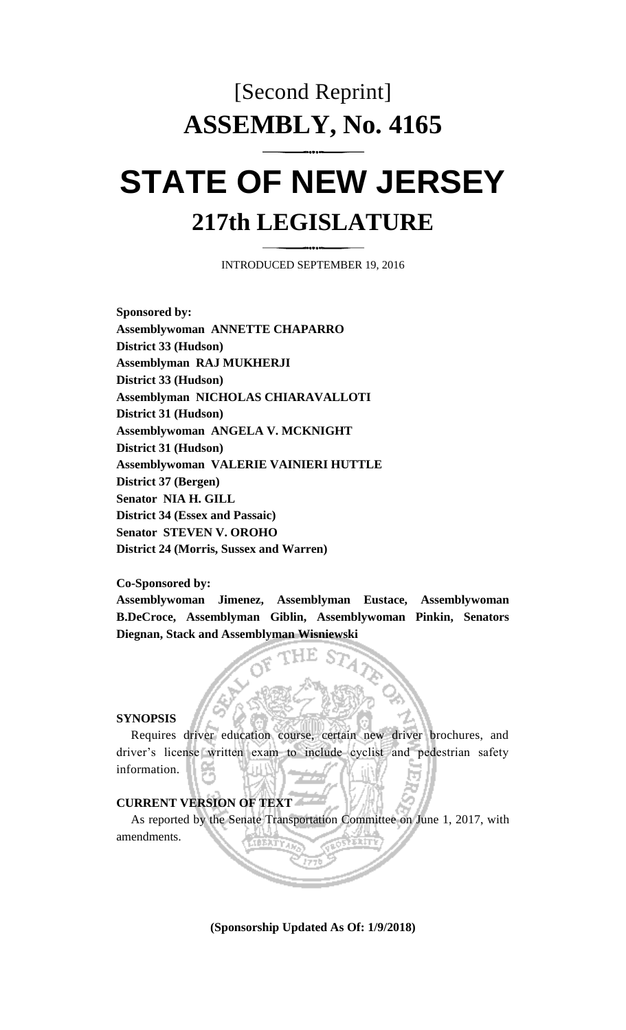# [Second Reprint] **ASSEMBLY, No. 4165**

# **STATE OF NEW JERSEY 217th LEGISLATURE**

INTRODUCED SEPTEMBER 19, 2016

**Sponsored by: Assemblywoman ANNETTE CHAPARRO District 33 (Hudson) Assemblyman RAJ MUKHERJI District 33 (Hudson) Assemblyman NICHOLAS CHIARAVALLOTI District 31 (Hudson) Assemblywoman ANGELA V. MCKNIGHT District 31 (Hudson) Assemblywoman VALERIE VAINIERI HUTTLE District 37 (Bergen) Senator NIA H. GILL District 34 (Essex and Passaic) Senator STEVEN V. OROHO District 24 (Morris, Sussex and Warren)**

#### **Co-Sponsored by:**

**Assemblywoman Jimenez, Assemblyman Eustace, Assemblywoman B.DeCroce, Assemblyman Giblin, Assemblywoman Pinkin, Senators Diegnan, Stack and Assemblyman Wisniewski**

#### **SYNOPSIS**

Requires driver education course, certain new driver brochures, and driver's license written exam to include cyclist and pedestrian safety information.

#### **CURRENT VERSION OF TEXT**

As reported by the Senate Transportation Committee on June 1, 2017, with amendments.

**(Sponsorship Updated As Of: 1/9/2018)**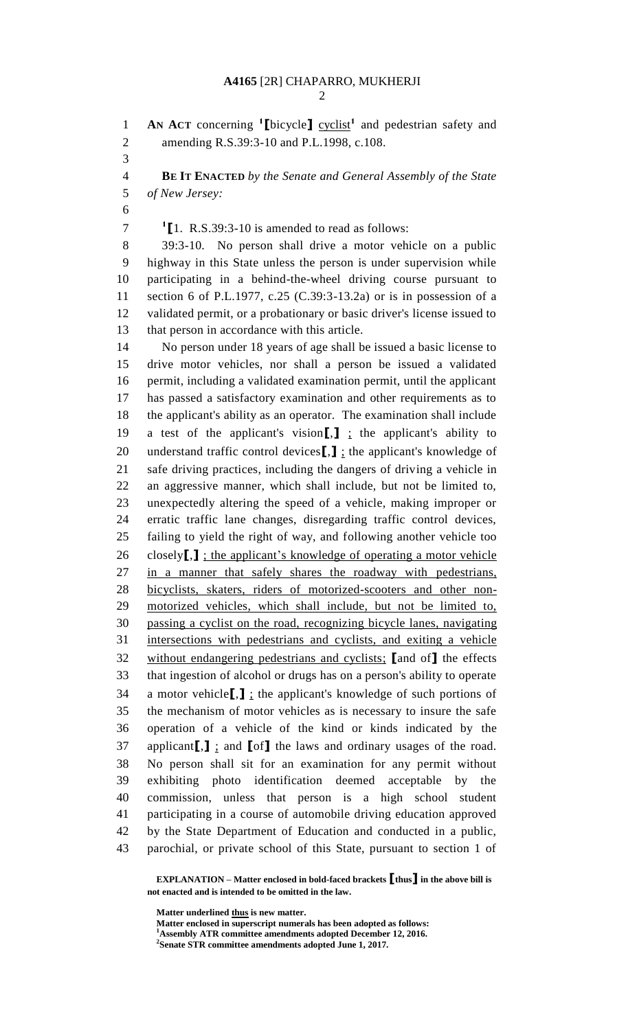**AN ACT** concerning **<sup>1</sup> [**bicycle**]** cyclist**<sup>1</sup>** and pedestrian safety and amending R.S.39:3-10 and P.L.1998, c.108. **BE IT ENACTED** *by the Senate and General Assembly of the State of New Jersey:* **[**1. R.S.39:3-10 is amended to read as follows: 39:3-10. No person shall drive a motor vehicle on a public highway in this State unless the person is under supervision while participating in a behind-the-wheel driving course pursuant to section 6 of P.L.1977, c.25 (C.39:3-13.2a) or is in possession of a validated permit, or a probationary or basic driver's license issued to that person in accordance with this article. No person under 18 years of age shall be issued a basic license to drive motor vehicles, nor shall a person be issued a validated permit, including a validated examination permit, until the applicant has passed a satisfactory examination and other requirements as to the applicant's ability as an operator. The examination shall include a test of the applicant's vision**[**,**]** ; the applicant's ability to understand traffic control devices**[**,**]** ; the applicant's knowledge of safe driving practices, including the dangers of driving a vehicle in an aggressive manner, which shall include, but not be limited to, unexpectedly altering the speed of a vehicle, making improper or erratic traffic lane changes, disregarding traffic control devices, failing to yield the right of way, and following another vehicle too closely**[**,**]** ; the applicant's knowledge of operating a motor vehicle in a manner that safely shares the roadway with pedestrians, bicyclists, skaters, riders of motorized-scooters and other non- motorized vehicles, which shall include, but not be limited to, passing a cyclist on the road, recognizing bicycle lanes, navigating intersections with pedestrians and cyclists, and exiting a vehicle without endangering pedestrians and cyclists; **[**and of**]** the effects that ingestion of alcohol or drugs has on a person's ability to operate a motor vehicle**[**,**]** ; the applicant's knowledge of such portions of the mechanism of motor vehicles as is necessary to insure the safe operation of a vehicle of the kind or kinds indicated by the applicant**[**,**]** ; and **[**of**]** the laws and ordinary usages of the road. No person shall sit for an examination for any permit without exhibiting photo identification deemed acceptable by the commission, unless that person is a high school student participating in a course of automobile driving education approved by the State Department of Education and conducted in a public, parochial, or private school of this State, pursuant to section 1 of

**EXPLANATION – Matter enclosed in bold-faced brackets [thus] in the above bill is not enacted and is intended to be omitted in the law.**

**Matter underlined thus is new matter.**

**Matter enclosed in superscript numerals has been adopted as follows: Assembly ATR committee amendments adopted December 12, 2016. Senate STR committee amendments adopted June 1, 2017.**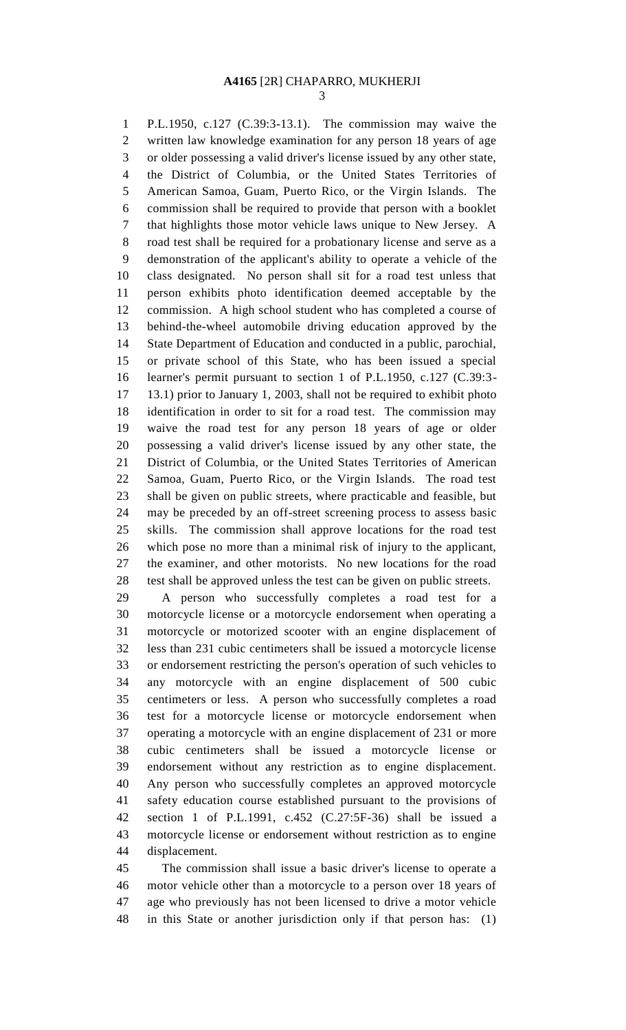P.L.1950, c.127 (C.39:3-13.1). The commission may waive the written law knowledge examination for any person 18 years of age or older possessing a valid driver's license issued by any other state, the District of Columbia, or the United States Territories of American Samoa, Guam, Puerto Rico, or the Virgin Islands. The commission shall be required to provide that person with a booklet that highlights those motor vehicle laws unique to New Jersey. A road test shall be required for a probationary license and serve as a demonstration of the applicant's ability to operate a vehicle of the class designated. No person shall sit for a road test unless that person exhibits photo identification deemed acceptable by the commission. A high school student who has completed a course of behind-the-wheel automobile driving education approved by the State Department of Education and conducted in a public, parochial, or private school of this State, who has been issued a special learner's permit pursuant to section 1 of P.L.1950, c.127 (C.39:3- 13.1) prior to January 1, 2003, shall not be required to exhibit photo identification in order to sit for a road test. The commission may waive the road test for any person 18 years of age or older possessing a valid driver's license issued by any other state, the District of Columbia, or the United States Territories of American Samoa, Guam, Puerto Rico, or the Virgin Islands. The road test shall be given on public streets, where practicable and feasible, but may be preceded by an off-street screening process to assess basic skills. The commission shall approve locations for the road test which pose no more than a minimal risk of injury to the applicant, the examiner, and other motorists. No new locations for the road test shall be approved unless the test can be given on public streets.

 A person who successfully completes a road test for a motorcycle license or a motorcycle endorsement when operating a motorcycle or motorized scooter with an engine displacement of less than 231 cubic centimeters shall be issued a motorcycle license or endorsement restricting the person's operation of such vehicles to any motorcycle with an engine displacement of 500 cubic centimeters or less. A person who successfully completes a road test for a motorcycle license or motorcycle endorsement when operating a motorcycle with an engine displacement of 231 or more cubic centimeters shall be issued a motorcycle license or endorsement without any restriction as to engine displacement. Any person who successfully completes an approved motorcycle safety education course established pursuant to the provisions of section 1 of P.L.1991, c.452 (C.27:5F-36) shall be issued a motorcycle license or endorsement without restriction as to engine displacement.

 The commission shall issue a basic driver's license to operate a motor vehicle other than a motorcycle to a person over 18 years of age who previously has not been licensed to drive a motor vehicle in this State or another jurisdiction only if that person has: (1)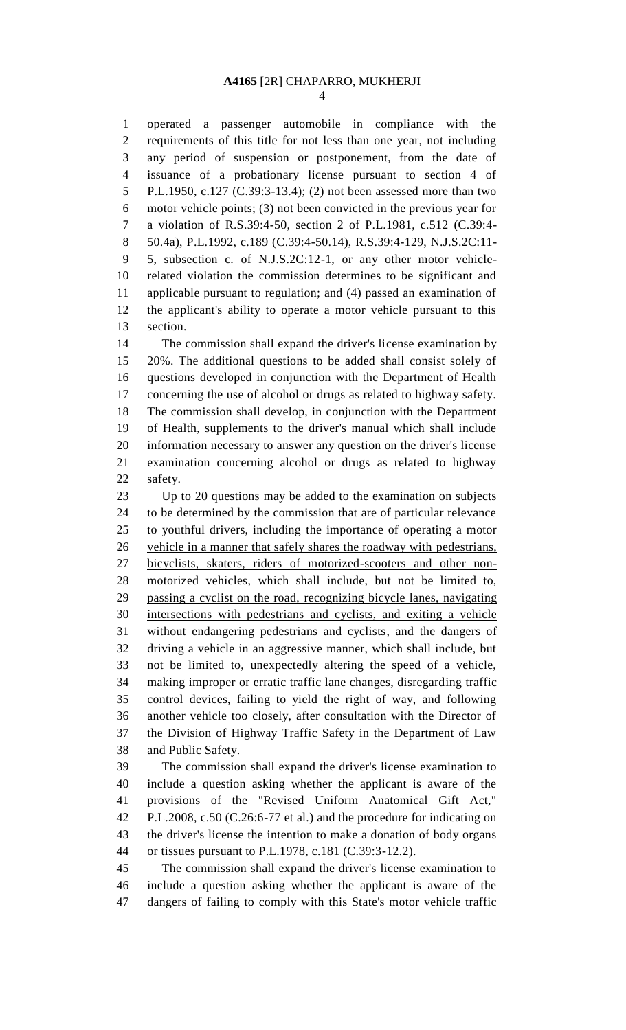operated a passenger automobile in compliance with the requirements of this title for not less than one year, not including any period of suspension or postponement, from the date of issuance of a probationary license pursuant to section 4 of P.L.1950, c.127 (C.39:3-13.4); (2) not been assessed more than two motor vehicle points; (3) not been convicted in the previous year for a violation of R.S.39:4-50, section 2 of P.L.1981, c.512 (C.39:4- 50.4a), P.L.1992, c.189 (C.39:4-50.14), R.S.39:4-129, N.J.S.2C:11- 5, subsection c. of N.J.S.2C:12-1, or any other motor vehicle- related violation the commission determines to be significant and applicable pursuant to regulation; and (4) passed an examination of the applicant's ability to operate a motor vehicle pursuant to this section.

 The commission shall expand the driver's license examination by 20%. The additional questions to be added shall consist solely of questions developed in conjunction with the Department of Health concerning the use of alcohol or drugs as related to highway safety. The commission shall develop, in conjunction with the Department of Health, supplements to the driver's manual which shall include information necessary to answer any question on the driver's license examination concerning alcohol or drugs as related to highway safety.

 Up to 20 questions may be added to the examination on subjects to be determined by the commission that are of particular relevance to youthful drivers, including the importance of operating a motor vehicle in a manner that safely shares the roadway with pedestrians, bicyclists, skaters, riders of motorized-scooters and other non- motorized vehicles, which shall include, but not be limited to, passing a cyclist on the road, recognizing bicycle lanes, navigating intersections with pedestrians and cyclists, and exiting a vehicle without endangering pedestrians and cyclists, and the dangers of driving a vehicle in an aggressive manner, which shall include, but not be limited to, unexpectedly altering the speed of a vehicle, making improper or erratic traffic lane changes, disregarding traffic control devices, failing to yield the right of way, and following another vehicle too closely, after consultation with the Director of the Division of Highway Traffic Safety in the Department of Law and Public Safety.

 The commission shall expand the driver's license examination to include a question asking whether the applicant is aware of the provisions of the "Revised Uniform Anatomical Gift Act," P.L.2008, c.50 (C.26:6-77 et al.) and the procedure for indicating on the driver's license the intention to make a donation of body organs or tissues pursuant to P.L.1978, c.181 (C.39:3-12.2).

 The commission shall expand the driver's license examination to include a question asking whether the applicant is aware of the dangers of failing to comply with this State's motor vehicle traffic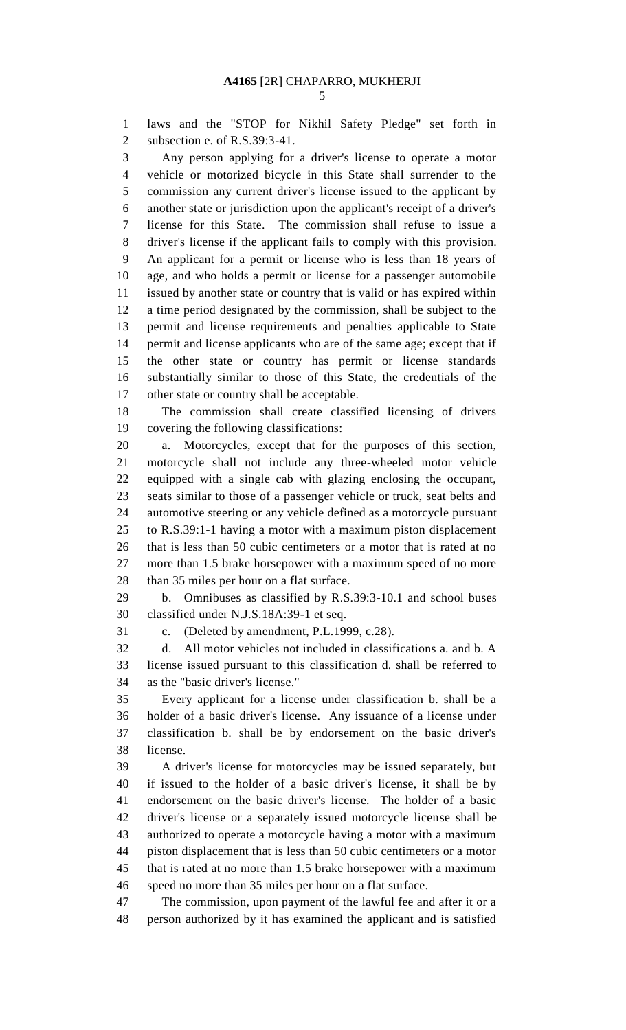laws and the "STOP for Nikhil Safety Pledge" set forth in subsection e. of R.S.39:3-41.

 Any person applying for a driver's license to operate a motor vehicle or motorized bicycle in this State shall surrender to the commission any current driver's license issued to the applicant by another state or jurisdiction upon the applicant's receipt of a driver's license for this State. The commission shall refuse to issue a driver's license if the applicant fails to comply with this provision. An applicant for a permit or license who is less than 18 years of age, and who holds a permit or license for a passenger automobile issued by another state or country that is valid or has expired within a time period designated by the commission, shall be subject to the permit and license requirements and penalties applicable to State permit and license applicants who are of the same age; except that if the other state or country has permit or license standards substantially similar to those of this State, the credentials of the other state or country shall be acceptable.

 The commission shall create classified licensing of drivers covering the following classifications:

 a. Motorcycles, except that for the purposes of this section, motorcycle shall not include any three-wheeled motor vehicle equipped with a single cab with glazing enclosing the occupant, seats similar to those of a passenger vehicle or truck, seat belts and automotive steering or any vehicle defined as a motorcycle pursuant to R.S.39:1-1 having a motor with a maximum piston displacement that is less than 50 cubic centimeters or a motor that is rated at no more than 1.5 brake horsepower with a maximum speed of no more than 35 miles per hour on a flat surface.

 b. Omnibuses as classified by R.S.39:3-10.1 and school buses classified under N.J.S.18A:39-1 et seq.

c. (Deleted by amendment, P.L.1999, c.28).

 d. All motor vehicles not included in classifications a. and b. A license issued pursuant to this classification d. shall be referred to as the "basic driver's license."

 Every applicant for a license under classification b. shall be a holder of a basic driver's license. Any issuance of a license under classification b. shall be by endorsement on the basic driver's license.

 A driver's license for motorcycles may be issued separately, but if issued to the holder of a basic driver's license, it shall be by endorsement on the basic driver's license. The holder of a basic driver's license or a separately issued motorcycle license shall be authorized to operate a motorcycle having a motor with a maximum piston displacement that is less than 50 cubic centimeters or a motor that is rated at no more than 1.5 brake horsepower with a maximum speed no more than 35 miles per hour on a flat surface.

 The commission, upon payment of the lawful fee and after it or a person authorized by it has examined the applicant and is satisfied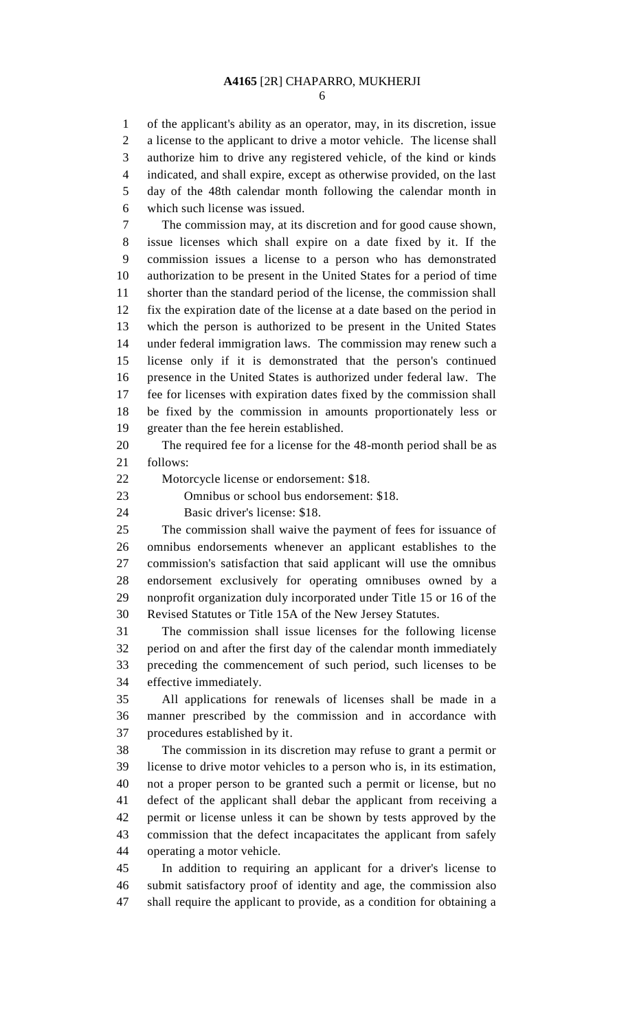of the applicant's ability as an operator, may, in its discretion, issue a license to the applicant to drive a motor vehicle. The license shall authorize him to drive any registered vehicle, of the kind or kinds indicated, and shall expire, except as otherwise provided, on the last day of the 48th calendar month following the calendar month in which such license was issued.

 The commission may, at its discretion and for good cause shown, issue licenses which shall expire on a date fixed by it. If the commission issues a license to a person who has demonstrated authorization to be present in the United States for a period of time shorter than the standard period of the license, the commission shall fix the expiration date of the license at a date based on the period in which the person is authorized to be present in the United States under federal immigration laws. The commission may renew such a license only if it is demonstrated that the person's continued presence in the United States is authorized under federal law. The fee for licenses with expiration dates fixed by the commission shall be fixed by the commission in amounts proportionately less or greater than the fee herein established.

 The required fee for a license for the 48-month period shall be as follows:

Motorcycle license or endorsement: \$18.

**Omnibus or school bus endorsement: \$18.** 

Basic driver's license: \$18.

 The commission shall waive the payment of fees for issuance of omnibus endorsements whenever an applicant establishes to the commission's satisfaction that said applicant will use the omnibus endorsement exclusively for operating omnibuses owned by a nonprofit organization duly incorporated under Title 15 or 16 of the Revised Statutes or Title 15A of the New Jersey Statutes.

 The commission shall issue licenses for the following license period on and after the first day of the calendar month immediately preceding the commencement of such period, such licenses to be effective immediately.

 All applications for renewals of licenses shall be made in a manner prescribed by the commission and in accordance with procedures established by it.

 The commission in its discretion may refuse to grant a permit or license to drive motor vehicles to a person who is, in its estimation, not a proper person to be granted such a permit or license, but no defect of the applicant shall debar the applicant from receiving a permit or license unless it can be shown by tests approved by the commission that the defect incapacitates the applicant from safely operating a motor vehicle.

 In addition to requiring an applicant for a driver's license to submit satisfactory proof of identity and age, the commission also shall require the applicant to provide, as a condition for obtaining a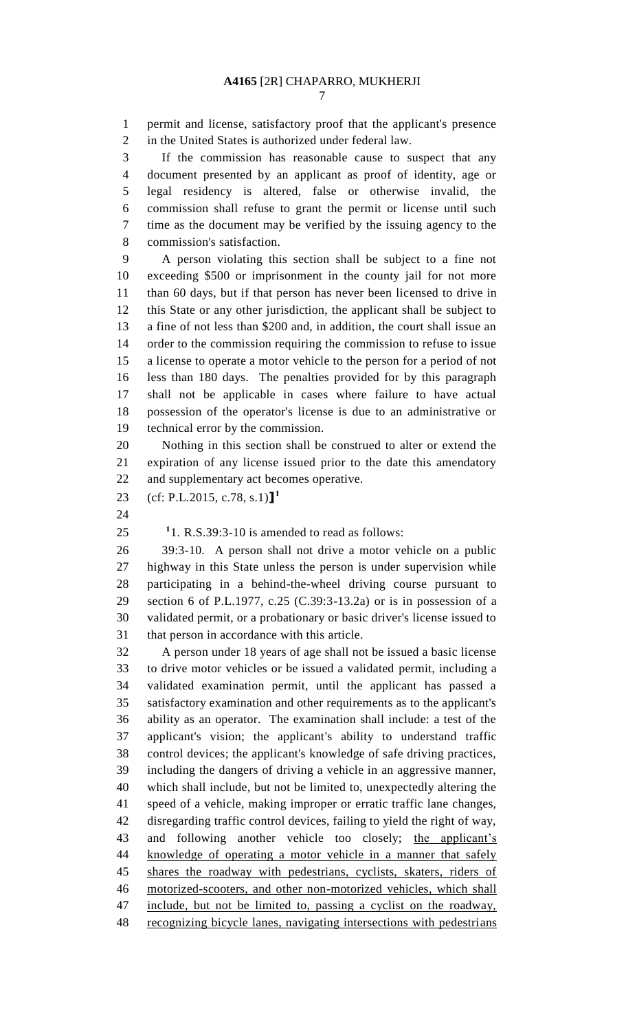permit and license, satisfactory proof that the applicant's presence in the United States is authorized under federal law.

 If the commission has reasonable cause to suspect that any document presented by an applicant as proof of identity, age or legal residency is altered, false or otherwise invalid, the commission shall refuse to grant the permit or license until such time as the document may be verified by the issuing agency to the commission's satisfaction.

 A person violating this section shall be subject to a fine not exceeding \$500 or imprisonment in the county jail for not more than 60 days, but if that person has never been licensed to drive in this State or any other jurisdiction, the applicant shall be subject to a fine of not less than \$200 and, in addition, the court shall issue an order to the commission requiring the commission to refuse to issue a license to operate a motor vehicle to the person for a period of not less than 180 days. The penalties provided for by this paragraph shall not be applicable in cases where failure to have actual possession of the operator's license is due to an administrative or technical error by the commission.

 Nothing in this section shall be construed to alter or extend the expiration of any license issued prior to the date this amendatory and supplementary act becomes operative.

- (cf: P.L.2015, c.78, s.1)**] 1**
- 

 $11. R.S.39:3-10$  is amended to read as follows:

 39:3-10. A person shall not drive a motor vehicle on a public highway in this State unless the person is under supervision while participating in a behind-the-wheel driving course pursuant to section 6 of P.L.1977, c.25 (C.39:3-13.2a) or is in possession of a validated permit, or a probationary or basic driver's license issued to that person in accordance with this article.

 A person under 18 years of age shall not be issued a basic license to drive motor vehicles or be issued a validated permit, including a validated examination permit, until the applicant has passed a satisfactory examination and other requirements as to the applicant's ability as an operator. The examination shall include: a test of the applicant's vision; the applicant's ability to understand traffic control devices; the applicant's knowledge of safe driving practices, including the dangers of driving a vehicle in an aggressive manner, which shall include, but not be limited to, unexpectedly altering the speed of a vehicle, making improper or erratic traffic lane changes, disregarding traffic control devices, failing to yield the right of way, and following another vehicle too closely; the applicant's knowledge of operating a motor vehicle in a manner that safely shares the roadway with pedestrians, cyclists, skaters, riders of motorized-scooters, and other non-motorized vehicles, which shall include, but not be limited to, passing a cyclist on the roadway, recognizing bicycle lanes, navigating intersections with pedestrians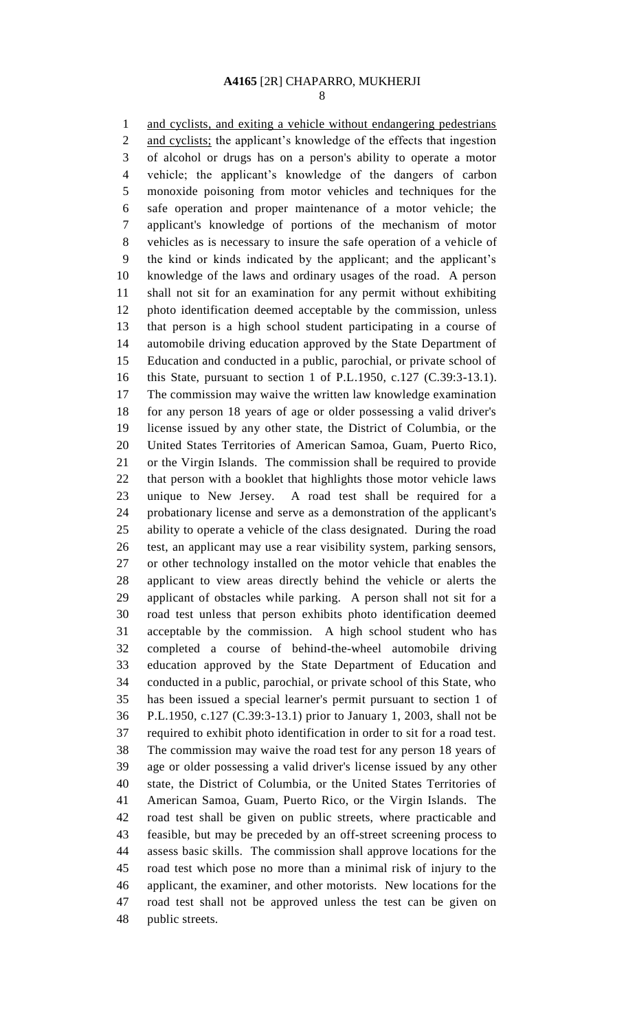and cyclists, and exiting a vehicle without endangering pedestrians 2 and cyclists; the applicant's knowledge of the effects that ingestion of alcohol or drugs has on a person's ability to operate a motor vehicle; the applicant's knowledge of the dangers of carbon monoxide poisoning from motor vehicles and techniques for the safe operation and proper maintenance of a motor vehicle; the applicant's knowledge of portions of the mechanism of motor vehicles as is necessary to insure the safe operation of a vehicle of the kind or kinds indicated by the applicant; and the applicant's knowledge of the laws and ordinary usages of the road. A person shall not sit for an examination for any permit without exhibiting photo identification deemed acceptable by the commission, unless that person is a high school student participating in a course of automobile driving education approved by the State Department of Education and conducted in a public, parochial, or private school of this State, pursuant to section 1 of P.L.1950, c.127 (C.39:3-13.1). The commission may waive the written law knowledge examination for any person 18 years of age or older possessing a valid driver's license issued by any other state, the District of Columbia, or the United States Territories of American Samoa, Guam, Puerto Rico, or the Virgin Islands. The commission shall be required to provide that person with a booklet that highlights those motor vehicle laws unique to New Jersey. A road test shall be required for a probationary license and serve as a demonstration of the applicant's ability to operate a vehicle of the class designated. During the road test, an applicant may use a rear visibility system, parking sensors, or other technology installed on the motor vehicle that enables the applicant to view areas directly behind the vehicle or alerts the applicant of obstacles while parking. A person shall not sit for a road test unless that person exhibits photo identification deemed acceptable by the commission. A high school student who has completed a course of behind-the-wheel automobile driving education approved by the State Department of Education and conducted in a public, parochial, or private school of this State, who has been issued a special learner's permit pursuant to section 1 of P.L.1950, c.127 (C.39:3-13.1) prior to January 1, 2003, shall not be required to exhibit photo identification in order to sit for a road test. The commission may waive the road test for any person 18 years of age or older possessing a valid driver's license issued by any other state, the District of Columbia, or the United States Territories of American Samoa, Guam, Puerto Rico, or the Virgin Islands. The road test shall be given on public streets, where practicable and feasible, but may be preceded by an off-street screening process to assess basic skills. The commission shall approve locations for the road test which pose no more than a minimal risk of injury to the applicant, the examiner, and other motorists. New locations for the road test shall not be approved unless the test can be given on public streets.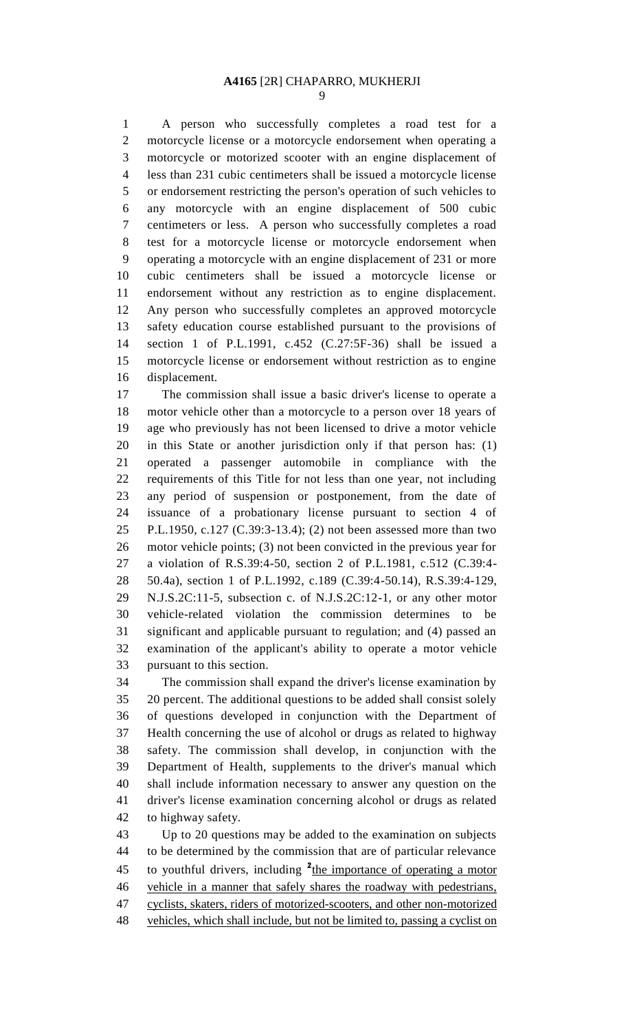A person who successfully completes a road test for a motorcycle license or a motorcycle endorsement when operating a motorcycle or motorized scooter with an engine displacement of less than 231 cubic centimeters shall be issued a motorcycle license or endorsement restricting the person's operation of such vehicles to any motorcycle with an engine displacement of 500 cubic centimeters or less. A person who successfully completes a road test for a motorcycle license or motorcycle endorsement when operating a motorcycle with an engine displacement of 231 or more cubic centimeters shall be issued a motorcycle license or endorsement without any restriction as to engine displacement. Any person who successfully completes an approved motorcycle safety education course established pursuant to the provisions of section 1 of P.L.1991, c.452 (C.27:5F-36) shall be issued a motorcycle license or endorsement without restriction as to engine displacement.

 The commission shall issue a basic driver's license to operate a motor vehicle other than a motorcycle to a person over 18 years of age who previously has not been licensed to drive a motor vehicle in this State or another jurisdiction only if that person has: (1) operated a passenger automobile in compliance with the requirements of this Title for not less than one year, not including any period of suspension or postponement, from the date of issuance of a probationary license pursuant to section 4 of P.L.1950, c.127 (C.39:3-13.4); (2) not been assessed more than two motor vehicle points; (3) not been convicted in the previous year for a violation of R.S.39:4-50, section 2 of P.L.1981, c.512 (C.39:4- 50.4a), section 1 of P.L.1992, c.189 (C.39:4-50.14), R.S.39:4-129, N.J.S.2C:11-5, subsection c. of N.J.S.2C:12-1, or any other motor vehicle-related violation the commission determines to be significant and applicable pursuant to regulation; and (4) passed an examination of the applicant's ability to operate a motor vehicle pursuant to this section.

 The commission shall expand the driver's license examination by 20 percent. The additional questions to be added shall consist solely of questions developed in conjunction with the Department of Health concerning the use of alcohol or drugs as related to highway safety. The commission shall develop, in conjunction with the Department of Health, supplements to the driver's manual which shall include information necessary to answer any question on the driver's license examination concerning alcohol or drugs as related to highway safety.

 Up to 20 questions may be added to the examination on subjects to be determined by the commission that are of particular relevance 45 to youthful drivers, including <sup>2</sup>the importance of operating a motor vehicle in a manner that safely shares the roadway with pedestrians, cyclists, skaters, riders of motorized-scooters, and other non-motorized vehicles, which shall include, but not be limited to, passing a cyclist on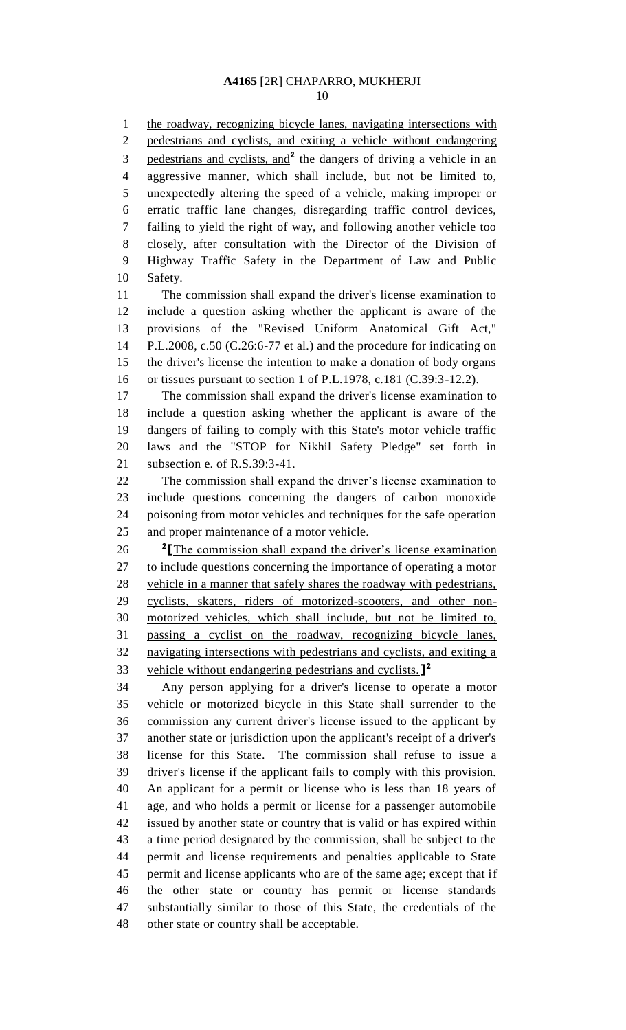1 the roadway, recognizing bicycle lanes, navigating intersections with pedestrians and cyclists, and exiting a vehicle without endangering 3 pedestrians and cyclists, and<sup>2</sup> the dangers of driving a vehicle in an aggressive manner, which shall include, but not be limited to, unexpectedly altering the speed of a vehicle, making improper or erratic traffic lane changes, disregarding traffic control devices, failing to yield the right of way, and following another vehicle too closely, after consultation with the Director of the Division of Highway Traffic Safety in the Department of Law and Public Safety. The commission shall expand the driver's license examination to include a question asking whether the applicant is aware of the provisions of the "Revised Uniform Anatomical Gift Act," P.L.2008, c.50 (C.26:6-77 et al.) and the procedure for indicating on the driver's license the intention to make a donation of body organs or tissues pursuant to section 1 of P.L.1978, c.181 (C.39:3-12.2). The commission shall expand the driver's license examination to include a question asking whether the applicant is aware of the dangers of failing to comply with this State's motor vehicle traffic laws and the "STOP for Nikhil Safety Pledge" set forth in subsection e. of R.S.39:3-41. The commission shall expand the driver's license examination to include questions concerning the dangers of carbon monoxide poisoning from motor vehicles and techniques for the safe operation and proper maintenance of a motor vehicle. 26 <sup>2</sup> The commission shall expand the driver's license examination to include questions concerning the importance of operating a motor vehicle in a manner that safely shares the roadway with pedestrians, cyclists, skaters, riders of motorized-scooters, and other non- motorized vehicles, which shall include, but not be limited to, passing a cyclist on the roadway, recognizing bicycle lanes, navigating intersections with pedestrians and cyclists, and exiting a vehicle without endangering pedestrians and cyclists.**] 2** Any person applying for a driver's license to operate a motor vehicle or motorized bicycle in this State shall surrender to the commission any current driver's license issued to the applicant by another state or jurisdiction upon the applicant's receipt of a driver's license for this State. The commission shall refuse to issue a driver's license if the applicant fails to comply with this provision. An applicant for a permit or license who is less than 18 years of age, and who holds a permit or license for a passenger automobile issued by another state or country that is valid or has expired within a time period designated by the commission, shall be subject to the permit and license requirements and penalties applicable to State permit and license applicants who are of the same age; except that if the other state or country has permit or license standards substantially similar to those of this State, the credentials of the other state or country shall be acceptable.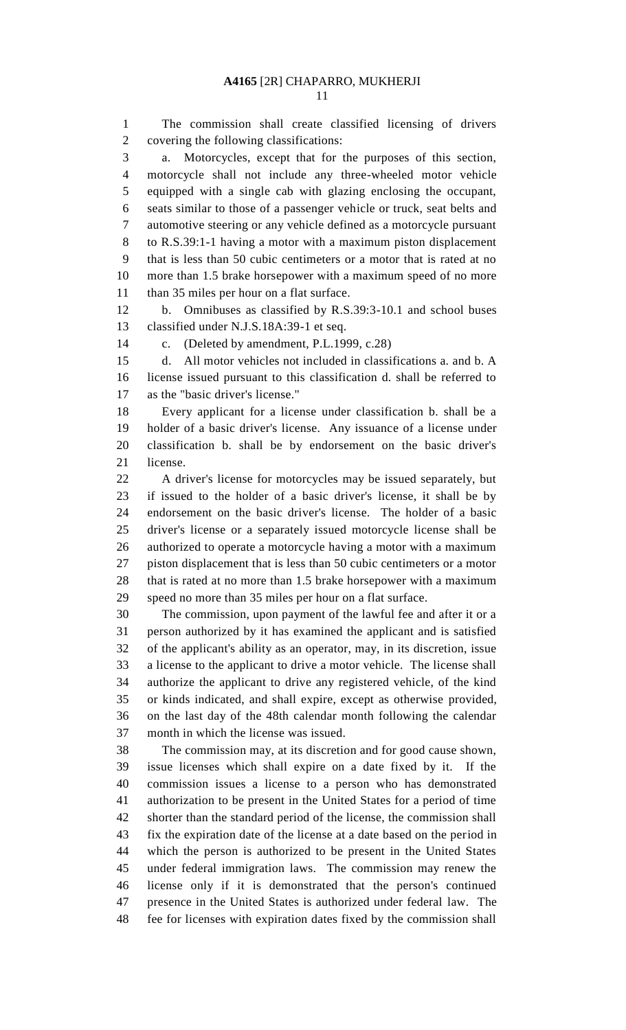The commission shall create classified licensing of drivers covering the following classifications:

 a. Motorcycles, except that for the purposes of this section, motorcycle shall not include any three-wheeled motor vehicle equipped with a single cab with glazing enclosing the occupant, seats similar to those of a passenger vehicle or truck, seat belts and automotive steering or any vehicle defined as a motorcycle pursuant to R.S.39:1-1 having a motor with a maximum piston displacement that is less than 50 cubic centimeters or a motor that is rated at no more than 1.5 brake horsepower with a maximum speed of no more than 35 miles per hour on a flat surface.

 b. Omnibuses as classified by R.S.39:3-10.1 and school buses classified under N.J.S.18A:39-1 et seq.

c. (Deleted by amendment, P.L.1999, c.28)

 d. All motor vehicles not included in classifications a. and b. A license issued pursuant to this classification d. shall be referred to as the "basic driver's license."

 Every applicant for a license under classification b. shall be a holder of a basic driver's license. Any issuance of a license under classification b. shall be by endorsement on the basic driver's license.

 A driver's license for motorcycles may be issued separately, but if issued to the holder of a basic driver's license, it shall be by endorsement on the basic driver's license. The holder of a basic driver's license or a separately issued motorcycle license shall be authorized to operate a motorcycle having a motor with a maximum piston displacement that is less than 50 cubic centimeters or a motor that is rated at no more than 1.5 brake horsepower with a maximum speed no more than 35 miles per hour on a flat surface.

 The commission, upon payment of the lawful fee and after it or a person authorized by it has examined the applicant and is satisfied of the applicant's ability as an operator, may, in its discretion, issue a license to the applicant to drive a motor vehicle. The license shall authorize the applicant to drive any registered vehicle, of the kind or kinds indicated, and shall expire, except as otherwise provided, on the last day of the 48th calendar month following the calendar month in which the license was issued.

 The commission may, at its discretion and for good cause shown, issue licenses which shall expire on a date fixed by it. If the commission issues a license to a person who has demonstrated authorization to be present in the United States for a period of time shorter than the standard period of the license, the commission shall fix the expiration date of the license at a date based on the period in which the person is authorized to be present in the United States under federal immigration laws. The commission may renew the license only if it is demonstrated that the person's continued presence in the United States is authorized under federal law. The fee for licenses with expiration dates fixed by the commission shall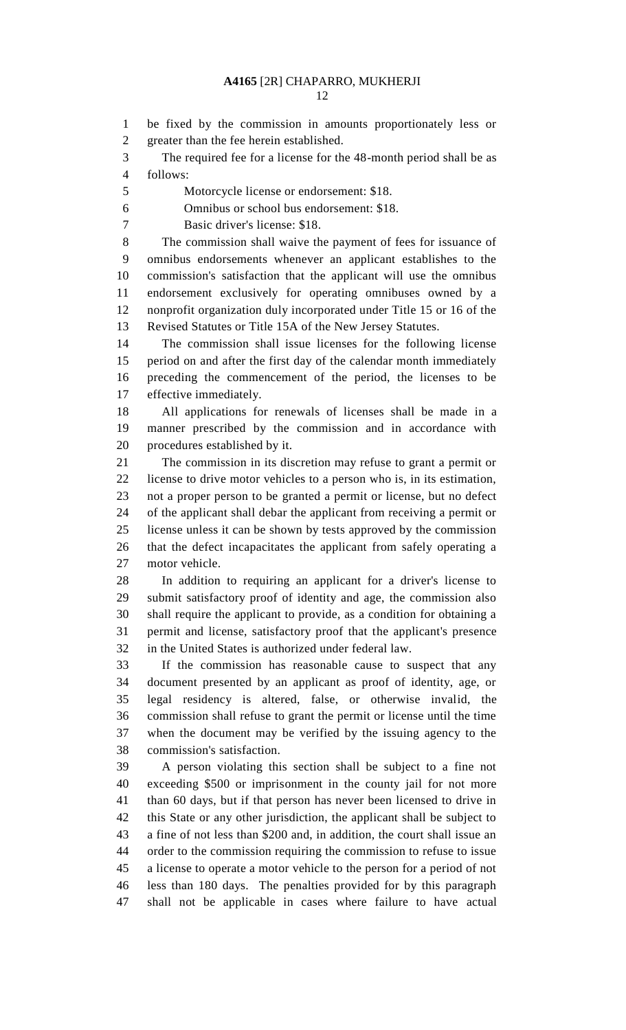be fixed by the commission in amounts proportionately less or greater than the fee herein established.

 The required fee for a license for the 48-month period shall be as follows:

Motorcycle license or endorsement: \$18.

Omnibus or school bus endorsement: \$18.

Basic driver's license: \$18.

 The commission shall waive the payment of fees for issuance of omnibus endorsements whenever an applicant establishes to the commission's satisfaction that the applicant will use the omnibus endorsement exclusively for operating omnibuses owned by a nonprofit organization duly incorporated under Title 15 or 16 of the Revised Statutes or Title 15A of the New Jersey Statutes.

 The commission shall issue licenses for the following license period on and after the first day of the calendar month immediately preceding the commencement of the period, the licenses to be effective immediately.

 All applications for renewals of licenses shall be made in a manner prescribed by the commission and in accordance with procedures established by it.

 The commission in its discretion may refuse to grant a permit or license to drive motor vehicles to a person who is, in its estimation, not a proper person to be granted a permit or license, but no defect of the applicant shall debar the applicant from receiving a permit or license unless it can be shown by tests approved by the commission that the defect incapacitates the applicant from safely operating a motor vehicle.

 In addition to requiring an applicant for a driver's license to submit satisfactory proof of identity and age, the commission also shall require the applicant to provide, as a condition for obtaining a permit and license, satisfactory proof that the applicant's presence in the United States is authorized under federal law.

 If the commission has reasonable cause to suspect that any document presented by an applicant as proof of identity, age, or legal residency is altered, false, or otherwise invalid, the commission shall refuse to grant the permit or license until the time when the document may be verified by the issuing agency to the commission's satisfaction.

 A person violating this section shall be subject to a fine not exceeding \$500 or imprisonment in the county jail for not more than 60 days, but if that person has never been licensed to drive in this State or any other jurisdiction, the applicant shall be subject to a fine of not less than \$200 and, in addition, the court shall issue an order to the commission requiring the commission to refuse to issue a license to operate a motor vehicle to the person for a period of not less than 180 days. The penalties provided for by this paragraph shall not be applicable in cases where failure to have actual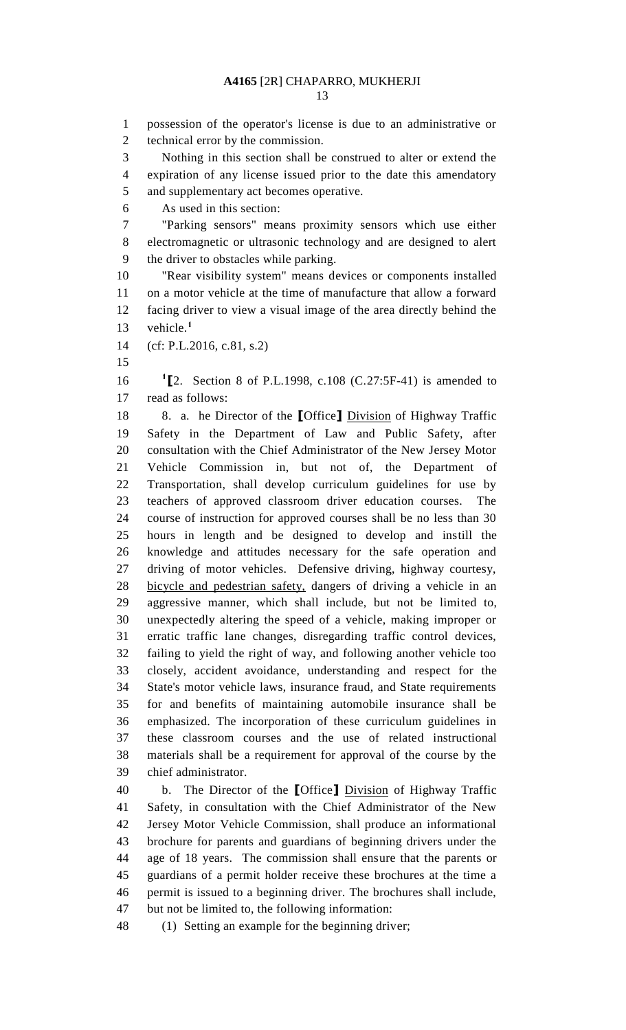possession of the operator's license is due to an administrative or technical error by the commission. Nothing in this section shall be construed to alter or extend the expiration of any license issued prior to the date this amendatory and supplementary act becomes operative. As used in this section: "Parking sensors" means proximity sensors which use either electromagnetic or ultrasonic technology and are designed to alert the driver to obstacles while parking. "Rear visibility system" means devices or components installed on a motor vehicle at the time of manufacture that allow a forward facing driver to view a visual image of the area directly behind the vehicle.**<sup>1</sup>** (cf: P.L.2016, c.81, s.2) **[**2. Section 8 of P.L.1998, c.108 (C.27:5F-41) is amended to read as follows: 8. a. he Director of the **[**Office**]** Division of Highway Traffic Safety in the Department of Law and Public Safety, after consultation with the Chief Administrator of the New Jersey Motor Vehicle Commission in, but not of, the Department of Transportation, shall develop curriculum guidelines for use by teachers of approved classroom driver education courses. The course of instruction for approved courses shall be no less than 30 hours in length and be designed to develop and instill the knowledge and attitudes necessary for the safe operation and driving of motor vehicles. Defensive driving, highway courtesy, bicycle and pedestrian safety, dangers of driving a vehicle in an aggressive manner, which shall include, but not be limited to, unexpectedly altering the speed of a vehicle, making improper or erratic traffic lane changes, disregarding traffic control devices, failing to yield the right of way, and following another vehicle too closely, accident avoidance, understanding and respect for the State's motor vehicle laws, insurance fraud, and State requirements for and benefits of maintaining automobile insurance shall be emphasized. The incorporation of these curriculum guidelines in these classroom courses and the use of related instructional materials shall be a requirement for approval of the course by the chief administrator. b. The Director of the **[**Office**]** Division of Highway Traffic Safety, in consultation with the Chief Administrator of the New Jersey Motor Vehicle Commission, shall produce an informational brochure for parents and guardians of beginning drivers under the age of 18 years. The commission shall ensure that the parents or guardians of a permit holder receive these brochures at the time a permit is issued to a beginning driver. The brochures shall include, but not be limited to, the following information:

(1) Setting an example for the beginning driver;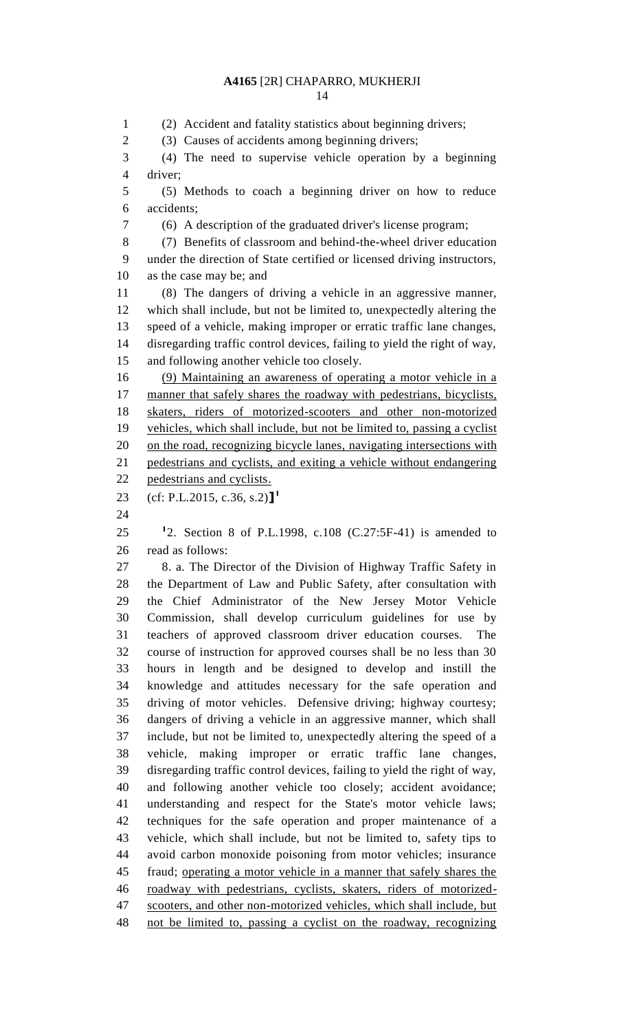(2) Accident and fatality statistics about beginning drivers; (3) Causes of accidents among beginning drivers; (4) The need to supervise vehicle operation by a beginning driver; (5) Methods to coach a beginning driver on how to reduce accidents; (6) A description of the graduated driver's license program; (7) Benefits of classroom and behind-the-wheel driver education under the direction of State certified or licensed driving instructors, as the case may be; and (8) The dangers of driving a vehicle in an aggressive manner, which shall include, but not be limited to, unexpectedly altering the speed of a vehicle, making improper or erratic traffic lane changes, disregarding traffic control devices, failing to yield the right of way, and following another vehicle too closely. (9) Maintaining an awareness of operating a motor vehicle in a 17 manner that safely shares the roadway with pedestrians, bicyclists, skaters, riders of motorized-scooters and other non-motorized vehicles, which shall include, but not be limited to, passing a cyclist on the road, recognizing bicycle lanes, navigating intersections with pedestrians and cyclists, and exiting a vehicle without endangering pedestrians and cyclists. (cf: P.L.2015, c.36, s.2)**] 1** 2. Section 8 of P.L.1998, c.108 (C.27:5F-41) is amended to read as follows: 8. a. The Director of the Division of Highway Traffic Safety in the Department of Law and Public Safety, after consultation with the Chief Administrator of the New Jersey Motor Vehicle Commission, shall develop curriculum guidelines for use by teachers of approved classroom driver education courses. The course of instruction for approved courses shall be no less than 30 hours in length and be designed to develop and instill the knowledge and attitudes necessary for the safe operation and driving of motor vehicles. Defensive driving; highway courtesy; dangers of driving a vehicle in an aggressive manner, which shall include, but not be limited to, unexpectedly altering the speed of a vehicle, making improper or erratic traffic lane changes, disregarding traffic control devices, failing to yield the right of way, and following another vehicle too closely; accident avoidance; understanding and respect for the State's motor vehicle laws; techniques for the safe operation and proper maintenance of a vehicle, which shall include, but not be limited to, safety tips to avoid carbon monoxide poisoning from motor vehicles; insurance fraud; operating a motor vehicle in a manner that safely shares the roadway with pedestrians, cyclists, skaters, riders of motorized- scooters, and other non-motorized vehicles, which shall include, but not be limited to, passing a cyclist on the roadway, recognizing